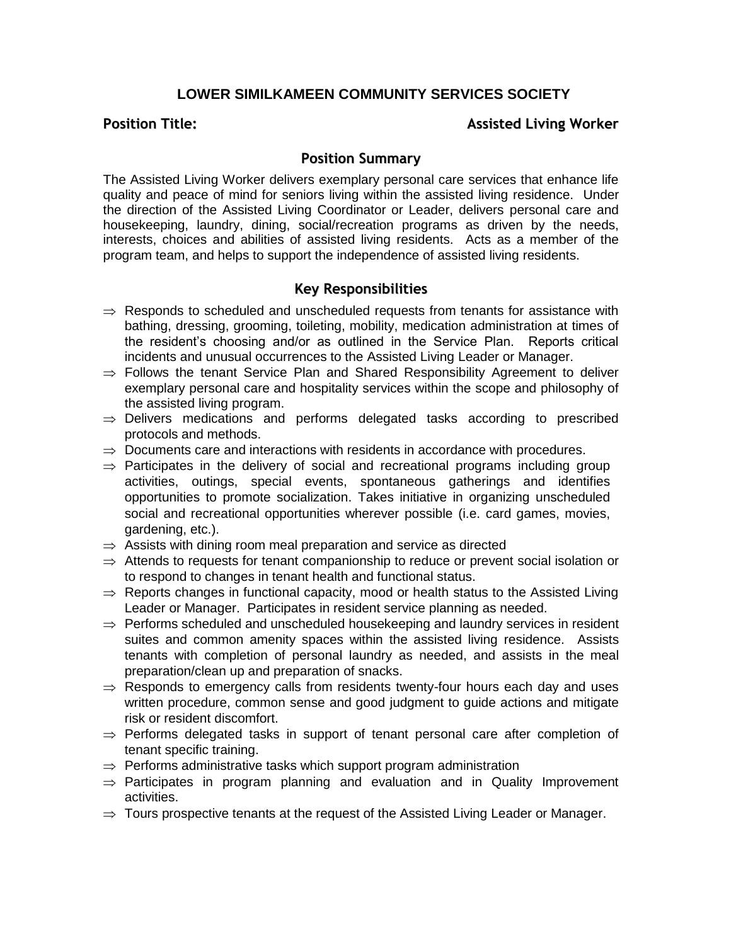## **LOWER SIMILKAMEEN COMMUNITY SERVICES SOCIETY**

### **Position Title: Assisted Living Worker**

#### **Position Summary**

The Assisted Living Worker delivers exemplary personal care services that enhance life quality and peace of mind for seniors living within the assisted living residence. Under the direction of the Assisted Living Coordinator or Leader, delivers personal care and housekeeping, laundry, dining, social/recreation programs as driven by the needs, interests, choices and abilities of assisted living residents. Acts as a member of the program team, and helps to support the independence of assisted living residents.

# **Key Responsibilities**

- $\Rightarrow$  Responds to scheduled and unscheduled requests from tenants for assistance with bathing, dressing, grooming, toileting, mobility, medication administration at times of the resident's choosing and/or as outlined in the Service Plan. Reports critical incidents and unusual occurrences to the Assisted Living Leader or Manager.
- $\Rightarrow$  Follows the tenant Service Plan and Shared Responsibility Agreement to deliver exemplary personal care and hospitality services within the scope and philosophy of the assisted living program.
- $\Rightarrow$  Delivers medications and performs delegated tasks according to prescribed protocols and methods.
- $\Rightarrow$  Documents care and interactions with residents in accordance with procedures.
- $\Rightarrow$  Participates in the delivery of social and recreational programs including group activities, outings, special events, spontaneous gatherings and identifies opportunities to promote socialization. Takes initiative in organizing unscheduled social and recreational opportunities wherever possible (i.e. card games, movies, gardening, etc.).
- $\Rightarrow$  Assists with dining room meal preparation and service as directed
- $\Rightarrow$  Attends to requests for tenant companionship to reduce or prevent social isolation or to respond to changes in tenant health and functional status.
- $\Rightarrow$  Reports changes in functional capacity, mood or health status to the Assisted Living Leader or Manager. Participates in resident service planning as needed.
- $\Rightarrow$  Performs scheduled and unscheduled housekeeping and laundry services in resident suites and common amenity spaces within the assisted living residence. Assists tenants with completion of personal laundry as needed, and assists in the meal preparation/clean up and preparation of snacks.
- $\Rightarrow$  Responds to emergency calls from residents twenty-four hours each day and uses written procedure, common sense and good judgment to guide actions and mitigate risk or resident discomfort.
- $\Rightarrow$  Performs delegated tasks in support of tenant personal care after completion of tenant specific training.
- $\Rightarrow$  Performs administrative tasks which support program administration
- $\Rightarrow$  Participates in program planning and evaluation and in Quality Improvement activities.
- $\Rightarrow$  Tours prospective tenants at the request of the Assisted Living Leader or Manager.